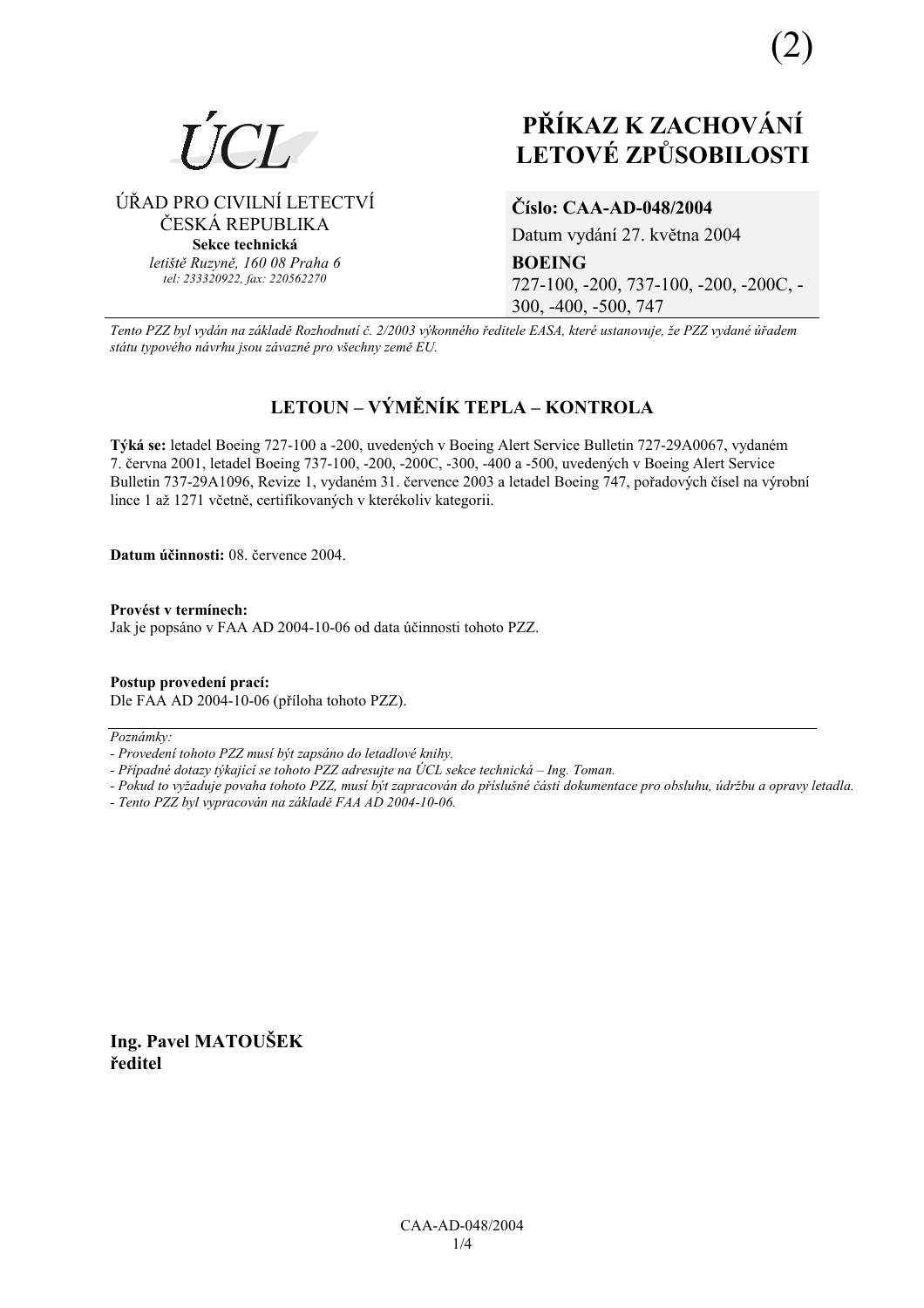

ÚŘAD PRO CIVILNÍ LETECTVÍ

ČESKÁ REPUBLIKA

Sekce technická letiště Ruzvně, 160 08 Praha 6

tel: 233320922, fax: 220562270

# PŘÍKAZ K ZACHOVÁNÍ **LETOVÉ ZPŮSOBILOSTI**

## Číslo: CAA-AD-048/2004

Datum vydání 27. května 2004

**BOEING** 

727-100, -200, 737-100, -200, -200C, -300, -400, -500, 747

Tento PZZ byl vydán na základě Rozhodnutí č. 2/2003 výkonného ředitele EASA, které ustanovuje, že PZZ vydané úřadem státu typového návrhu jsou závazné pro všechny země EU.

## LETOUN – VÝMĚNÍK TEPLA – KONTROLA

Týká se: letadel Boeing 727-100 a -200, uvedených v Boeing Alert Service Bulletin 727-29A0067, vydaném 7. června 2001, letadel Boeing 737-100, -200, -200C, -300, -400 a -500, uvedených v Boeing Alert Service Bulletin 737-29A1096, Revize 1, vydaném 31. července 2003 a letadel Boeing 747, pořadových čísel na výrobní lince 1 až 1271 včetně, certifikovaných v kterékoliv kategorii.

Datum účinnosti: 08. července 2004.

Provést v termínech: Jak je popsáno v FAA AD 2004-10-06 od data účinnosti tohoto PZZ.

Postup provedení prací: Dle FAA AD 2004-10-06 (příloha tohoto PZZ).

Poznámky:

- Pokud to vyžaduje povaha tohoto PZZ, musí být zapracován do příslušné části dokumentace pro obsluhu, údržbu a opravy letadla.
- Tento PZZ byl vypracován na základě FAA AD 2004-10-06.

Ing. Pavel MATOUŠEK ředitel

<sup>-</sup> Provedení tohoto PZZ musí být zapsáno do letadlové knihy.

<sup>-</sup> Případné dotazy týkající se tohoto PZZ adresujte na ÚCL sekce technická – Ing. Toman.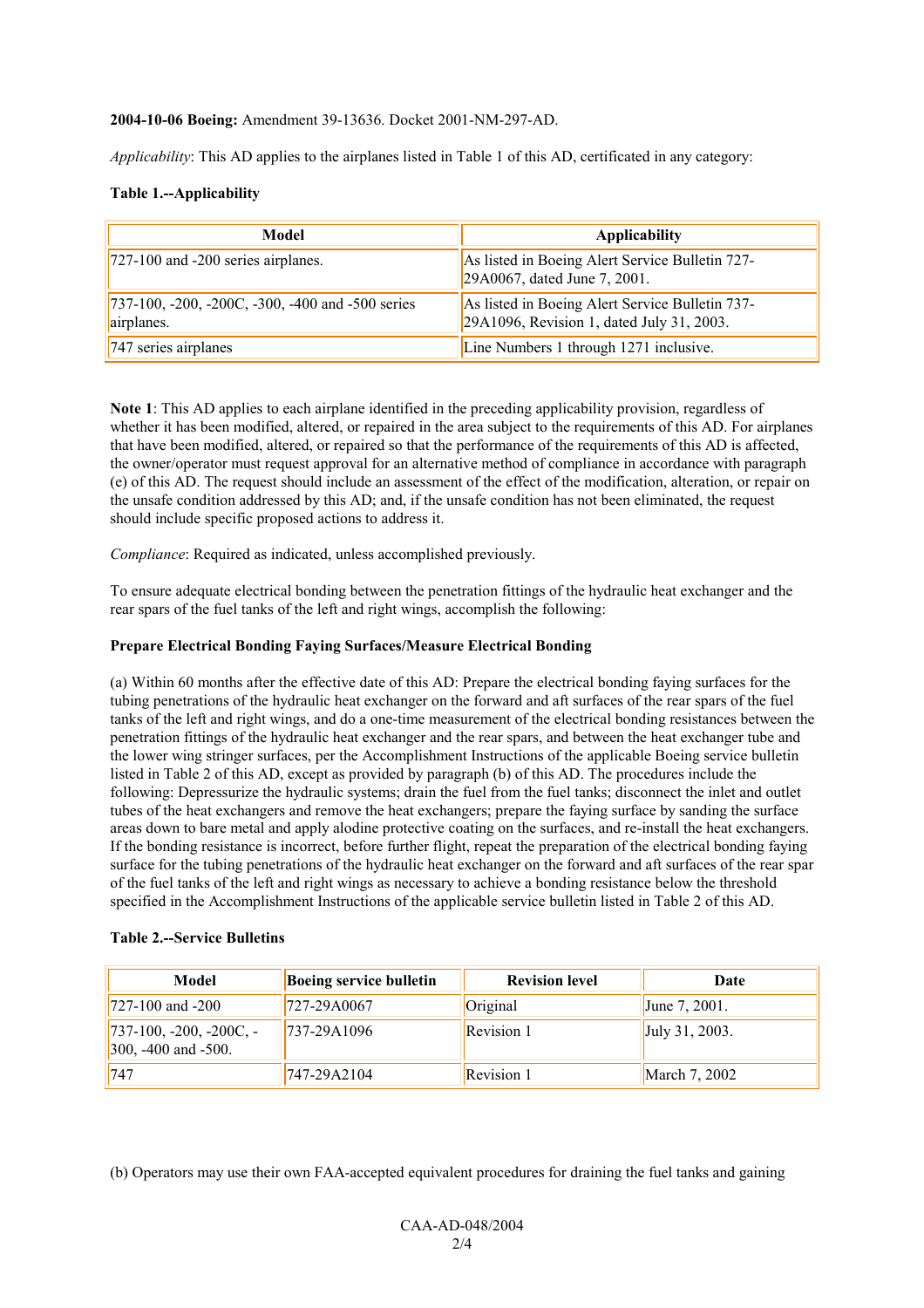#### **2004-10-06 Boeing:** Amendment 39-13636. Docket 2001-NM-297-AD.

*Applicability*: This AD applies to the airplanes listed in Table 1 of this AD, certificated in any category:

#### **Table 1.--Applicability**

| Model                                                          | <b>Applicability</b>                                                                         |
|----------------------------------------------------------------|----------------------------------------------------------------------------------------------|
| $727-100$ and $-200$ series airplanes.                         | As listed in Boeing Alert Service Bulletin 727-<br>29A0067, dated June 7, 2001.              |
| 737-100, -200, -200C, -300, -400 and -500 series<br>airplanes. | As listed in Boeing Alert Service Bulletin 737-<br>29A1096, Revision 1, dated July 31, 2003. |
| 747 series airplanes                                           | Line Numbers 1 through 1271 inclusive.                                                       |

**Note 1**: This AD applies to each airplane identified in the preceding applicability provision, regardless of whether it has been modified, altered, or repaired in the area subject to the requirements of this AD. For airplanes that have been modified, altered, or repaired so that the performance of the requirements of this AD is affected, the owner/operator must request approval for an alternative method of compliance in accordance with paragraph (e) of this AD. The request should include an assessment of the effect of the modification, alteration, or repair on the unsafe condition addressed by this AD; and, if the unsafe condition has not been eliminated, the request should include specific proposed actions to address it.

*Compliance*: Required as indicated, unless accomplished previously.

To ensure adequate electrical bonding between the penetration fittings of the hydraulic heat exchanger and the rear spars of the fuel tanks of the left and right wings, accomplish the following:

#### **Prepare Electrical Bonding Faying Surfaces/Measure Electrical Bonding**

(a) Within 60 months after the effective date of this AD: Prepare the electrical bonding faying surfaces for the tubing penetrations of the hydraulic heat exchanger on the forward and aft surfaces of the rear spars of the fuel tanks of the left and right wings, and do a one-time measurement of the electrical bonding resistances between the penetration fittings of the hydraulic heat exchanger and the rear spars, and between the heat exchanger tube and the lower wing stringer surfaces, per the Accomplishment Instructions of the applicable Boeing service bulletin listed in Table 2 of this AD, except as provided by paragraph (b) of this AD. The procedures include the following: Depressurize the hydraulic systems; drain the fuel from the fuel tanks; disconnect the inlet and outlet tubes of the heat exchangers and remove the heat exchangers; prepare the faying surface by sanding the surface areas down to bare metal and apply alodine protective coating on the surfaces, and re-install the heat exchangers. If the bonding resistance is incorrect, before further flight, repeat the preparation of the electrical bonding faying surface for the tubing penetrations of the hydraulic heat exchanger on the forward and aft surfaces of the rear spar of the fuel tanks of the left and right wings as necessary to achieve a bonding resistance below the threshold specified in the Accomplishment Instructions of the applicable service bulletin listed in Table 2 of this AD.

#### **Table 2.--Service Bulletins**

| Model                                                 | <b>Boeing service bulletin</b> | <b>Revision level</b> | Date           |
|-------------------------------------------------------|--------------------------------|-----------------------|----------------|
| $1727 - 100$ and $-200$                               | 727-29A0067                    | Original              | June 7, 2001.  |
| $737-100, -200, -200C, -$<br>$300, -400$ and $-500$ . | 737-29A1096                    | <b>Revision 1</b>     | July 31, 2003. |
| 747                                                   | 747-29A2104                    | <b>Revision 1</b>     | March 7, 2002  |

(b) Operators may use their own FAA-accepted equivalent procedures for draining the fuel tanks and gaining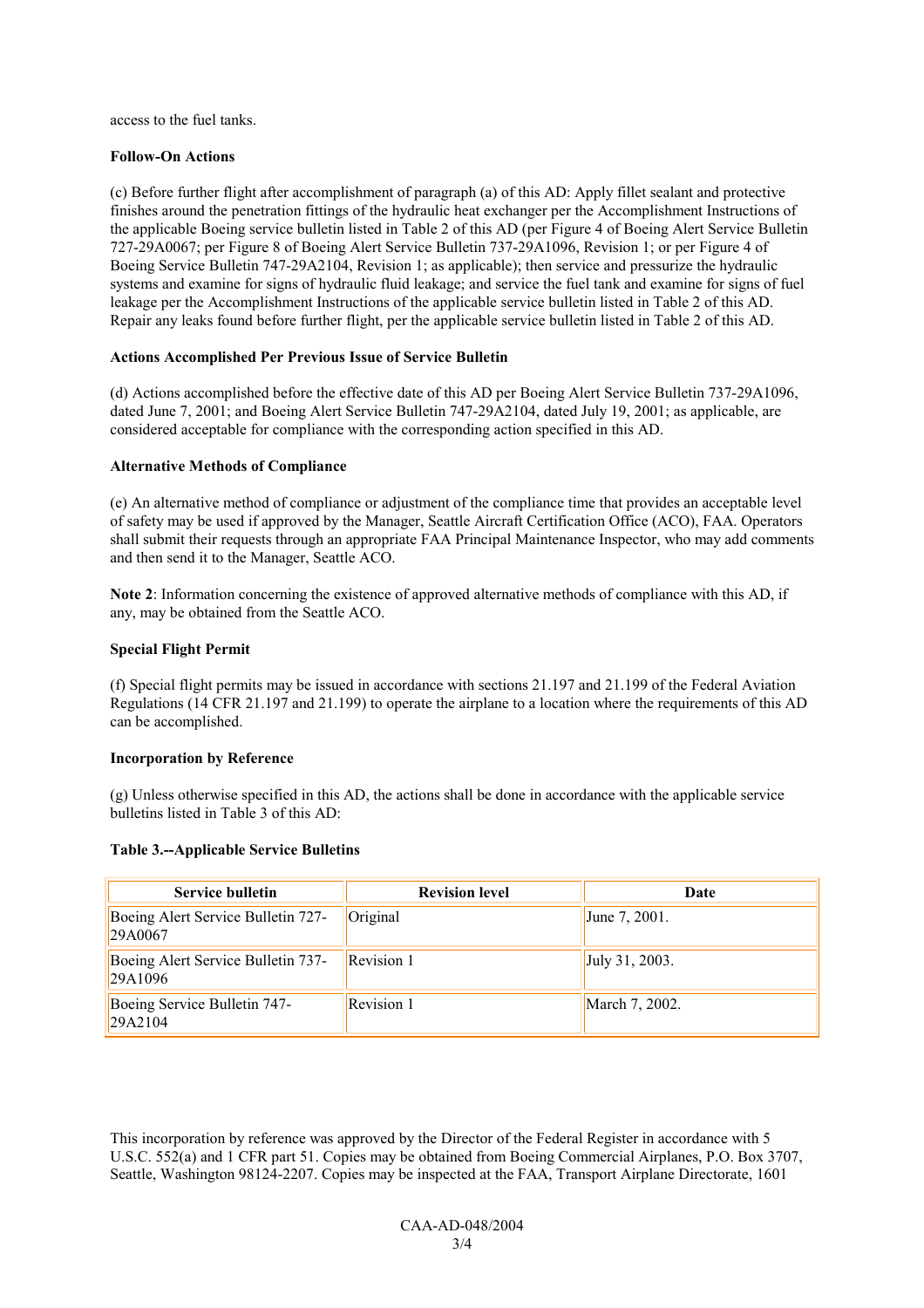access to the fuel tanks.

#### **Follow-On Actions**

(c) Before further flight after accomplishment of paragraph (a) of this AD: Apply fillet sealant and protective finishes around the penetration fittings of the hydraulic heat exchanger per the Accomplishment Instructions of the applicable Boeing service bulletin listed in Table 2 of this AD (per Figure 4 of Boeing Alert Service Bulletin 727-29A0067; per Figure 8 of Boeing Alert Service Bulletin 737-29A1096, Revision 1; or per Figure 4 of Boeing Service Bulletin 747-29A2104, Revision 1; as applicable); then service and pressurize the hydraulic systems and examine for signs of hydraulic fluid leakage; and service the fuel tank and examine for signs of fuel leakage per the Accomplishment Instructions of the applicable service bulletin listed in Table 2 of this AD. Repair any leaks found before further flight, per the applicable service bulletin listed in Table 2 of this AD.

#### **Actions Accomplished Per Previous Issue of Service Bulletin**

(d) Actions accomplished before the effective date of this AD per Boeing Alert Service Bulletin 737-29A1096, dated June 7, 2001; and Boeing Alert Service Bulletin 747-29A2104, dated July 19, 2001; as applicable, are considered acceptable for compliance with the corresponding action specified in this AD.

#### **Alternative Methods of Compliance**

(e) An alternative method of compliance or adjustment of the compliance time that provides an acceptable level of safety may be used if approved by the Manager, Seattle Aircraft Certification Office (ACO), FAA. Operators shall submit their requests through an appropriate FAA Principal Maintenance Inspector, who may add comments and then send it to the Manager, Seattle ACO.

**Note 2**: Information concerning the existence of approved alternative methods of compliance with this AD, if any, may be obtained from the Seattle ACO.

#### **Special Flight Permit**

(f) Special flight permits may be issued in accordance with sections 21.197 and 21.199 of the Federal Aviation Regulations (14 CFR 21.197 and 21.199) to operate the airplane to a location where the requirements of this AD can be accomplished.

#### **Incorporation by Reference**

(g) Unless otherwise specified in this AD, the actions shall be done in accordance with the applicable service bulletins listed in Table 3 of this AD:

#### **Table 3.--Applicable Service Bulletins**

| <b>Service bulletin</b>                       | <b>Revision level</b> | Date             |
|-----------------------------------------------|-----------------------|------------------|
| Boeing Alert Service Bulletin 727-<br>29A0067 | Original              | June $7, 2001$ . |
| Boeing Alert Service Bulletin 737-<br>29A1096 | <b>Revision 1</b>     | July 31, 2003.   |
| Boeing Service Bulletin 747-<br> 29A2104      | Revision 1            | March 7, 2002.   |

This incorporation by reference was approved by the Director of the Federal Register in accordance with 5 U.S.C. 552(a) and 1 CFR part 51. Copies may be obtained from Boeing Commercial Airplanes, P.O. Box 3707, Seattle, Washington 98124-2207. Copies may be inspected at the FAA, Transport Airplane Directorate, 1601